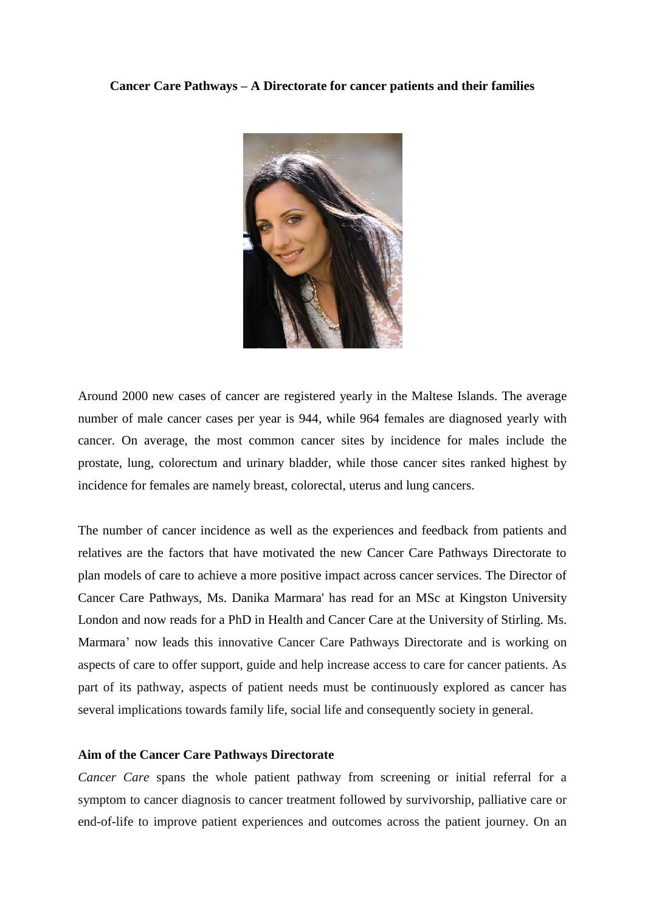## **Cancer Care Pathways – A Directorate for cancer patients and their families**



Around 2000 new cases of cancer are registered yearly in the Maltese Islands. The average number of male cancer cases per year is 944, while 964 females are diagnosed yearly with cancer. On average, the most common cancer sites by incidence for males include the prostate, lung, colorectum and urinary bladder, while those cancer sites ranked highest by incidence for females are namely breast, colorectal, uterus and lung cancers.

The number of cancer incidence as well as the experiences and feedback from patients and relatives are the factors that have motivated the new Cancer Care Pathways Directorate to plan models of care to achieve a more positive impact across cancer services. The Director of Cancer Care Pathways, Ms. Danika Marmara' has read for an MSc at Kingston University London and now reads for a PhD in Health and Cancer Care at the University of Stirling. Ms. Marmara' now leads this innovative Cancer Care Pathways Directorate and is working on aspects of care to offer support, guide and help increase access to care for cancer patients. As part of its pathway, aspects of patient needs must be continuously explored as cancer has several implications towards family life, social life and consequently society in general.

## **Aim of the Cancer Care Pathways Directorate**

*Cancer Care* spans the whole patient pathway from screening or initial referral for a symptom to cancer diagnosis to cancer treatment followed by survivorship, palliative care or end-of-life to improve patient experiences and outcomes across the patient journey. On an